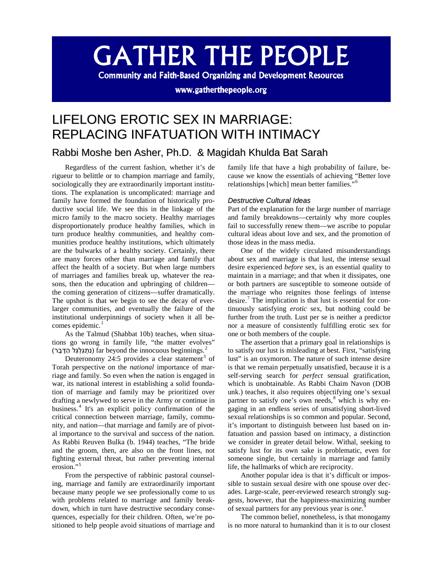# **GATHER THE PEOPLE**

**Community and Faith-Based Organizing and Development Resources** 

www.gatherthepeople.org

## LIFELONG EROTIC SEX IN MARRIAGE: REPLACING INFATUATION WITH INTIMACY

### Rabbi Moshe ben Asher, Ph.D. & Magidah Khulda Bat Sarah

Regardless of the current fashion, whether it's de rigueur to belittle or to champion marriage and family, sociologically they are extraordinarily important institutions. The explanation is uncomplicated: marriage and family have formed the foundation of historically productive social life. We see this in the linkage of the micro family to the macro society. Healthy marriages disproportionately produce healthy families, which in turn produce healthy communities, and healthy communities produce healthy institutions, which ultimately are the bulwarks of a healthy society. Certainly, there are many forces other than marriage and family that affect the health of a society. But when large numbers of marriages and families break up, whatever the reasons, then the education and upbringing of children the coming generation of citizens—suffer dramatically. The upshot is that we begin to see the decay of everlarger communities, and eventually the failure of the institutional underpinnings of society when it all be-comes epidemic.<sup>[1](#page-8-0)</sup>

As the Talmud (Shabbat 10b) teaches, when situations go wrong in family life, "the matter evolves" *<sup>F</sup>*.*1*beginnings innocuous the beyond far) נִ תְ גַ לְ גֵּ ל הַ דָּ בָ ר) 2

Deuteronomy 24:5 provides a clear statement<sup>[3](#page-8-1)</sup> of Torah perspective on the *national* importance of marriage and family. So even when the nation is engaged in war, its national interest in establishing a solid foundation of marriage and family may be prioritized over drafting a newlywed to serve in the Army or continue in business.[4](#page-8-2) It's an explicit policy confirmation of the critical connection between marriage, family, community, and nation—that marriage and family are of pivotal importance to the survival and success of the nation. As Rabbi Reuven Bulka (b. 1944) teaches, "The bride and the groom, then, are also on the front lines, not fighting external threat, but rather preventing internal erosion."

From the perspective of rabbinic pastoral counseling, marriage and family are extraordinarily important because many people we see professionally come to us with problems related to marriage and family breakdown, which in turn have destructive secondary consequences, especially for their children. Often, we're positioned to help people avoid situations of marriage and family life that have a high probability of failure, because we know the essentials of achieving "Better love relationships [which] mean better families."[6](#page-9-0)

#### *Destructive Cultural Ideas*

Part of the explanation for the large number of marriage and family breakdowns—certainly why more couples fail to successfully renew them—we ascribe to popular cultural ideas about love and sex, and the promotion of those ideas in the mass media.

One of the widely circulated misunderstandings about sex and marriage is that lust, the intense sexual desire experienced *before* sex, is an essential quality to maintain in a marriage; and that when it dissipates, one or both partners are susceptible to someone outside of the marriage who reignites those feelings of intense desire.<sup>[7](#page-9-1)</sup> The implication is that lust is essential for continuously satisfying *erotic* sex, but nothing could be further from the truth. Lust per se is neither a predictor nor a measure of consistently fulfilling erotic sex for one or both members of the couple.

The assertion that a primary goal in relationships is to satisfy our lust is misleading at best. First, "satisfying lust" is an oxymoron. The nature of such intense desire is that we remain perpetually unsatisfied, because it is a self-serving search for *perfect* sensual gratification, which is unobtainable. As Rabbi Chaim Navon (DOB unk.) teaches, it also requires objectifying one's sexual partner to satisfy one's own needs, $8$  which is why engaging in an endless series of unsatisfying short-lived sexual relationships is so common and popular. Second, it's important to distinguish between lust based on infatuation and passion based on intimacy, a distinction we consider in greater detail below. Withal, seeking to satisfy lust for its own sake is problematic, even for someone single, but certainly in marriage and family life, the hallmarks of which are reciprocity.

Another popular idea is that it's difficult or impossible to sustain sexual desire with one spouse over decades. Large-scale, peer-reviewed research strongly suggests, however, that the happiness-maximizing number of sexual partners for any previous year is *one*. [9](#page-9-3)

The common belief, nonetheless, is that monogamy is no more natural to humankind than it is to our closest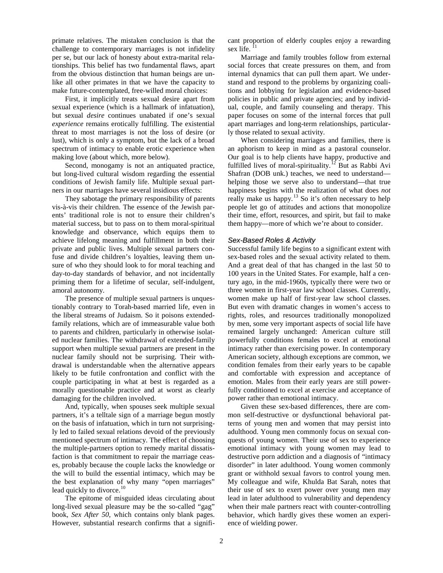primate relatives. The mistaken conclusion is that the challenge to contemporary marriages is not infidelity per se, but our lack of honesty about extra-marital relationships. This belief has two fundamental flaws, apart from the obvious distinction that human beings are unlike all other primates in that we have the capacity to make future-contemplated, free-willed moral choices:

First, it implicitly treats sexual desire apart from sexual experience (which is a hallmark of infatuation), but sexual *desire* continues unabated if one's sexual *experience* remains erotically fulfilling. The existential threat to most marriages is not the loss of desire (or lust), which is only a symptom, but the lack of a broad spectrum of intimacy to enable erotic experience when making love (about which, more below).

Second, monogamy is not an antiquated practice, but long-lived cultural wisdom regarding the essential conditions of Jewish family life. Multiple sexual partners in our marriages have several insidious effects:

They sabotage the primary responsibility of parents vis-à-vis their children. The essence of the Jewish parents' traditional role is not to ensure their children's material success, but to pass on to them moral-spiritual knowledge and observance, which equips them to achieve lifelong meaning and fulfillment in both their private and public lives. Multiple sexual partners confuse and divide children's loyalties, leaving them unsure of who they should look to for moral teaching and day-to-day standards of behavior, and not incidentally priming them for a lifetime of secular, self-indulgent, amoral autonomy.

The presence of multiple sexual partners is unquestionably contrary to Torah-based married life, even in the liberal streams of Judaism. So it poisons extendedfamily relations, which are of immeasurable value both to parents and children, particularly in otherwise isolated nuclear families. The withdrawal of extended-family support when multiple sexual partners are present in the nuclear family should not be surprising. Their withdrawal is understandable when the alternative appears likely to be futile confrontation and conflict with the couple participating in what at best is regarded as a morally questionable practice and at worst as clearly damaging for the children involved.

And, typically, when spouses seek multiple sexual partners, it's a telltale sign of a marriage begun mostly on the basis of infatuation, which in turn not surprisingly led to failed sexual relations devoid of the previously mentioned spectrum of intimacy. The effect of choosing the multiple-partners option to remedy marital dissatisfaction is that commitment to repair the marriage ceases, probably because the couple lacks the knowledge or the will to build the essential intimacy, which may be the best explanation of why many "open marriages" lead quickly to divorce.<sup>[10](#page-10-0)</sup>

The epitome of misguided ideas circulating about long-lived sexual pleasure may be the so-called "gag" book, *Sex After 50*, which contains only blank pages. However, substantial research confirms that a significant proportion of elderly couples enjoy a rewarding sex life.<sup>[11](#page-11-0)</sup>

Marriage and family troubles follow from external social forces that create pressures on them, and from internal dynamics that can pull them apart. We understand and respond to the problems by organizing coalitions and lobbying for legislation and evidence-based policies in public and private agencies; and by individual, couple, and family counseling and therapy. This paper focuses on some of the internal forces that pull apart marriages and long-term relationships, particularly those related to sexual activity.

When considering marriages and families, there is an aphorism to keep in mind as a pastoral counselor. Our goal is to help clients have happy, productive and fulfilled lives of moral-spirituality.<sup>[12](#page-11-1)</sup> But as Rabbi Avi Shafran (DOB unk.) teaches, we need to understand helping those we serve also to understand—that true happiness begins with the realization of what does *not* really make us happy.<sup>[13](#page-11-2)</sup> So it's often necessary to help people let go of attitudes and actions that monopolize their time, effort, resources, and spirit, but fail to make them happy—more of which we're about to consider.

#### *Sex-Based Roles & Activity*

Successful family life begins to a significant extent with sex-based roles and the sexual activity related to them. And a great deal of that has changed in the last 50 to 100 years in the United States. For example, half a century ago, in the mid-1960s, typically there were two or three women in first-year law school classes. Currently, women make up half of first-year law school classes. But even with dramatic changes in women's access to rights, roles, and resources traditionally monopolized by men, some very important aspects of social life have remained largely unchanged: American culture still powerfully conditions females to excel at emotional intimacy rather than exercising power. In contemporary American society, although exceptions are common, we condition females from their early years to be capable and comfortable with expression and acceptance of emotion. Males from their early years are still powerfully conditioned to excel at exercise and acceptance of power rather than emotional intimacy.

Given these sex-based differences, there are common self-destructive or dysfunctional behavioral patterns of young men and women that may persist into adulthood. Young men commonly focus on sexual conquests of young women. Their use of sex to experience emotional intimacy with young women may lead to destructive porn addiction and a diagnosis of "intimacy disorder" in later adulthood. Young women commonly grant or withhold sexual favors to control young men. My colleague and wife, Khulda Bat Sarah, notes that their use of sex to exert power over young men may lead in later adulthood to vulnerability and dependency when their male partners react with counter-controlling behavior, which hardly gives these women an experience of wielding power.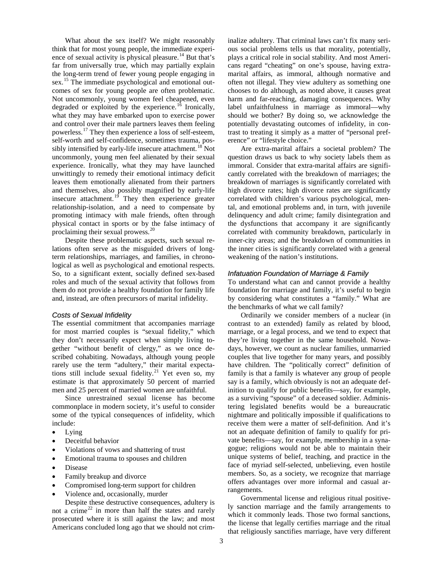What about the sex itself? We might reasonably think that for most young people, the immediate experi-ence of sexual activity is physical pleasure.<sup>[14](#page-12-0)</sup> But that's far from universally true, which may partially explain the long-term trend of fewer young people engaging in sex.<sup>[15](#page-12-1)</sup> The immediate psychological and emotional outcomes of sex for young people are often problematic. Not uncommonly, young women feel cheapened, even degraded or exploited by the experience.<sup>[16](#page-12-2)</sup> Ironically, what they may have embarked upon to exercise power and control over their male partners leaves them feeling powerless.<sup>[17](#page-12-3)</sup> They then experience a loss of self-esteem, self-worth and self-confidence, sometimes trauma, pos-sibly intensified by early-life insecure attachment.<sup>[18](#page-12-4)</sup> Not uncommonly, young men feel alienated by their sexual experience. Ironically, what they may have launched unwittingly to remedy their emotional intimacy deficit leaves them emotionally alienated from their partners and themselves, also possibly magnified by early-life insecure attachment.<sup>[19](#page-12-5)</sup> They then experience greater relationship-isolation, and a need to compensate by promoting intimacy with male friends, often through physical contact in sports or by the false intimacy of proclaiming their sexual prowess.[20](#page-12-6)

Despite these problematic aspects, such sexual relations often serve as the misguided drivers of longterm relationships, marriages, and families, in chronological as well as psychological and emotional respects. So, to a significant extent, socially defined sex-based roles and much of the sexual activity that follows from them do not provide a healthy foundation for family life and, instead, are often precursors of marital infidelity.

#### *Costs of Sexual Infidelity*

The essential commitment that accompanies marriage for most married couples is "sexual fidelity," which they don't necessarily expect when simply living together "without benefit of clergy," as we once described cohabiting. Nowadays, although young people rarely use the term "adultery," their marital expecta-tions still include sexual fidelity.<sup>[21](#page-12-7)</sup> Yet even so, my estimate is that approximately 50 percent of married men and 25 percent of married women are unfaithful.

Since unrestrained sexual license has become commonplace in modern society, it's useful to consider some of the typical consequences of infidelity, which include:

- Lying
- Deceitful behavior
- Violations of vows and shattering of trust
- Emotional trauma to spouses and children
- Disease
- Family breakup and divorce
- Compromised long-term support for children
- Violence and, occasionally, murder

Despite these destructive consequences, adultery is not a crime<sup>[22](#page-12-8)</sup> in more than half the states and rarely prosecuted where it is still against the law; and most Americans concluded long ago that we should not criminalize adultery. That criminal laws can't fix many serious social problems tells us that morality, potentially, plays a critical role in social stability. And most Americans regard "cheating" on one's spouse, having extramarital affairs, as immoral, although normative and often not illegal. They view adultery as something one chooses to do although, as noted above, it causes great harm and far-reaching, damaging consequences. Why label unfaithfulness in marriage as immoral—why should we bother? By doing so, we acknowledge the potentially devastating outcomes of infidelity, in contrast to treating it simply as a matter of "personal preference" or "lifestyle choice."

Are extra-marital affairs a societal problem? The question draws us back to why society labels them as immoral. Consider that extra-marital affairs are significantly correlated with the breakdown of marriages; the breakdown of marriages is significantly correlated with high divorce rates; high divorce rates are significantly correlated with children's various psychological, mental, and emotional problems and, in turn, with juvenile delinquency and adult crime; family disintegration and the dysfunctions that accompany it are significantly correlated with community breakdown, particularly in inner-city areas; and the breakdown of communities in the inner cities is significantly correlated with a general weakening of the nation's institutions.

#### *Infatuation Foundation of Marriage & Family*

To understand what can and cannot provide a healthy foundation for marriage and family, it's useful to begin by considering what constitutes a "family." What are the benchmarks of what we call family?

Ordinarily we consider members of a nuclear (in contrast to an extended) family as related by blood, marriage, or a legal process, and we tend to expect that they're living together in the same household. Nowadays, however, we count as nuclear families, unmarried couples that live together for many years, and possibly have children. The "politically correct" definition of family is that a family is whatever any group of people say is a family, which obviously is not an adequate definition to qualify for public benefits—say, for example, as a surviving "spouse" of a deceased soldier. Administering legislated benefits would be a bureaucratic nightmare and politically impossible if qualifications to receive them were a matter of self-definition. And it's not an adequate definition of family to qualify for private benefits—say, for example, membership in a synagogue; religions would not be able to maintain their unique systems of belief, teaching, and practice in the face of myriad self-selected, unbelieving, even hostile members. So, as a society, we recognize that marriage offers advantages over more informal and casual arrangements.

Governmental license and religious ritual positively sanction marriage and the family arrangements to which it commonly leads. Those two formal sanctions, the license that legally certifies marriage and the ritual that religiously sanctifies marriage, have very different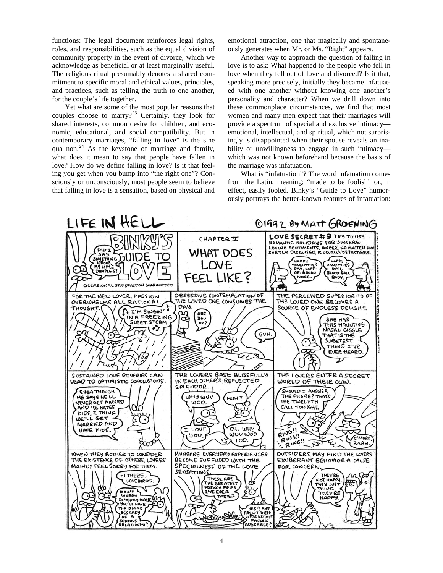functions: The legal document reinforces legal rights, roles, and responsibilities, such as the equal division of community property in the event of divorce, which we acknowledge as beneficial or at least marginally useful. The religious ritual presumably denotes a shared commitment to specific moral and ethical values, principles, and practices, such as telling the truth to one another, for the couple's life together.

Yet what are some of the most popular reasons that couples choose to marry?<sup>[23](#page-12-9)</sup> Certainly, they look for shared interests, common desire for children, and economic, educational, and social compatibility. But in contemporary marriages, "falling in love" is the sine qua non.<sup>[24](#page-12-10)</sup> As the keystone of marriage and family, what does it mean to say that people have fallen in love? How do we define falling in love? Is it that feeling you get when you bump into "the right one"? Consciously or unconsciously, most people seem to believe that falling in love is a sensation, based on physical and

emotional attraction, one that magically and spontaneously generates when Mr. or Ms. "Right" appears.

Another way to approach the question of falling in love is to ask: What happened to the people who fell in love when they fell out of love and divorced? Is it that, speaking more precisely, initially they became infatuated with one another without knowing one another's personality and character? When we drill down into these commonplace circumstances, we find that most women and many men expect that their marriages will provide a spectrum of special and exclusive intimacy emotional, intellectual, and spiritual, which not surprisingly is disappointed when their spouse reveals an inability or unwillingness to engage in such intimacy which was not known beforehand because the basis of the marriage was infatuation.

What is "infatuation"? The word infatuation comes from the Latin, meaning: "made to be foolish" or, in effect, easily fooled. Binky's "Guide to Love" humorously portrays the better-known features of infatuation:

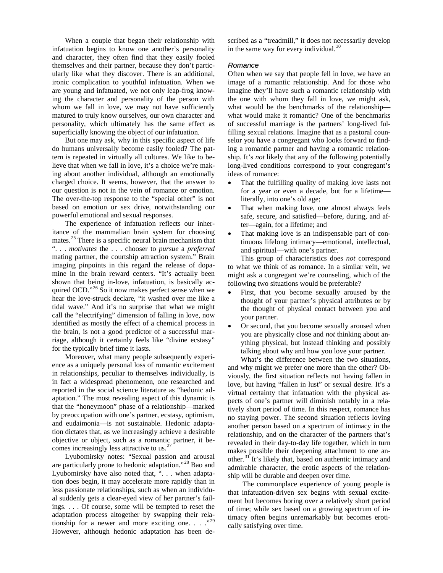When a couple that began their relationship with infatuation begins to know one another's personality and character, they often find that they easily fooled themselves and their partner, because they don't particularly like what they discover. There is an additional, ironic complication to youthful infatuation. When we are young and infatuated, we not only leap-frog knowing the character and personality of the person with whom we fall in love, we may not have sufficiently matured to truly know ourselves, our own character and personality, which ultimately has the same effect as superficially knowing the object of our infatuation.

But one may ask, why in this specific aspect of life do humans universally become easily fooled? The pattern is repeated in virtually all cultures. We like to believe that when we fall in love, it's a choice we're making about another individual, although an emotionally charged choice. It seems, however, that the answer to our question is not in the vein of romance or emotion. The over-the-top response to the "special other" is not based on emotion or sex drive, notwithstanding our powerful emotional and sexual responses.

The experience of infatuation reflects our inheritance of the mammalian brain system for choosing mates.<sup>[25](#page-12-11)</sup> There is a specific neural brain mechanism that ". . . *motivates* the . . . chooser to *pursue* a *preferred* mating partner, the courtship attraction system." Brain imaging pinpoints in this regard the release of dopamine in the brain reward centers. "It's actually been shown that being in-love, infatuation, is basically ac-quired OCD."<sup>[26](#page-12-12)</sup> So it now makes perfect sense when we hear the love-struck declare, "it washed over me like a tidal wave." And it's no surprise that what we might call the "electrifying" dimension of falling in love, now identified as mostly the effect of a chemical process in the brain, is not a good predictor of a successful marriage, although it certainly feels like "divine ecstasy" for the typically brief time it lasts.

Moreover, what many people subsequently experience as a uniquely personal loss of romantic excitement in relationships, peculiar to themselves individually, is in fact a widespread phenomenon, one researched and reported in the social science literature as "hedonic adaptation." The most revealing aspect of this dynamic is that the "honeymoon" phase of a relationship—marked by preoccupation with one's partner, ecstasy, optimism, and eudaimonia—is not sustainable. Hedonic adaptation dictates that, as we increasingly achieve a desirable objective or object, such as a romantic partner, it be-comes increasingly less attractive to us.<sup>[27](#page-12-13)</sup>

Lyubomirsky notes: "Sexual passion and arousal are particularly prone to hedonic adaptation."<sup>[28](#page-12-14)</sup> Bao and Lyubomirsky have also noted that, ". . . when adaptation does begin, it may accelerate more rapidly than in less passionate relationships, such as when an individual suddenly gets a clear-eyed view of her partner's failings. . . . Of course, some will be tempted to reset the adaptation process altogether by swapping their relationship for a newer and more exciting one.  $\ldots$ ."<sup>[29](#page-12-15)</sup> However, although hedonic adaptation has been described as a "treadmill," it does not necessarily develop in the same way for every individual.<sup>[30](#page-12-16)</sup>

#### *Romance*

Often when we say that people fell in love, we have an image of a romantic relationship. And for those who imagine they'll have such a romantic relationship with the one with whom they fall in love, we might ask, what would be the benchmarks of the relationship what would make it romantic? One of the benchmarks of successful marriage is the partners' long-lived fulfilling sexual relations. Imagine that as a pastoral counselor you have a congregant who looks forward to finding a romantic partner and having a romantic relationship. It's *not* likely that any of the following potentially long-lived conditions correspond to your congregant's ideas of romance:

- That the fulfilling quality of making love lasts not for a year or even a decade, but for a lifetime literally, into one's old age;
- That when making love, one almost always feels safe, secure, and satisfied—before, during, and after—again, for a lifetime; and
- That making love is an indispensable part of continuous lifelong intimacy—emotional, intellectual, and spiritual—with one's partner.

This group of characteristics does *not* correspond to what we think of as romance. In a similar vein, we might ask a congregant we're counseling, which of the following two situations would be preferable?

- First, that you become sexually aroused by the thought of your partner's physical attributes or by the thought of physical contact between you and your partner.
- Or second, that you become sexually aroused when you are physically close and *not* thinking about anything physical, but instead thinking and possibly talking about why and how you love your partner.

What's the difference between the two situations, and why might we prefer one more than the other? Obviously, the first situation reflects not having fallen in love, but having "fallen in lust" or sexual desire. It's a virtual certainty that infatuation with the physical aspects of one's partner will diminish notably in a relatively short period of time. In this respect, romance has no staying power. The second situation reflects loving another person based on a spectrum of intimacy in the relationship, and on the character of the partners that's revealed in their day-to-day life together, which in turn makes possible their deepening attachment to one an-other.<sup>[31](#page-12-17)</sup> It's likely that, based on authentic intimacy and admirable character, the erotic aspects of the relationship will be durable and deepen over time.

The commonplace experience of young people is that infatuation-driven sex begins with sexual excitement but becomes boring over a relatively short period of time; while sex based on a growing spectrum of intimacy often begins unremarkably but becomes erotically satisfying over time.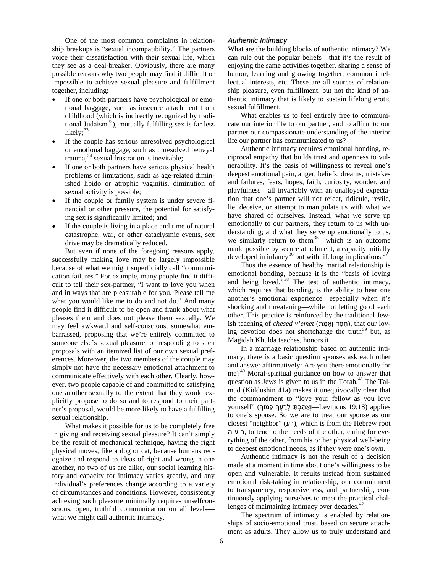One of the most common complaints in relationship breakups is "sexual incompatibility." The partners voice their dissatisfaction with their sexual life, which they see as a deal-breaker. Obviously, there are many possible reasons why two people may find it difficult or impossible to achieve sexual pleasure and fulfillment together, including:

- If one or both partners have psychological or emotional baggage, such as insecure attachment from childhood (which is indirectly recognized by traditional Judaism<sup>32</sup>), mutually fulfilling sex is far less likely;<sup>[33](#page-12-19)</sup>
- If the couple has serious unresolved psychological or emotional baggage, such as unresolved betrayal  $trauma$ ,  $34$  sexual frustration is inevitable;
- If one or both partners have serious physical health problems or limitations, such as age-related diminished libido or atrophic vaginitis, diminution of sexual activity is possible;
- If the couple or family system is under severe financial or other pressure, the potential for satisfying sex is significantly limited; and
- If the couple is living in a place and time of natural catastrophe, war, or other cataclysmic events, sex drive may be dramatically reduced.

But even if none of the foregoing reasons apply, successfully making love may be largely impossible because of what we might superficially call "communication failures." For example, many people find it difficult to tell their sex-partner, "I want to love you when and in ways that are pleasurable for you. Please tell me what you would like me to do and not do." And many people find it difficult to be open and frank about what pleases them and does not please them sexually. We may feel awkward and self-conscious, somewhat embarrassed, proposing that we're entirely committed to someone else's sexual pleasure, or responding to such proposals with an itemized list of our own sexual preferences. Moreover, the two members of the couple may simply not have the necessary emotional attachment to communicate effectively with each other. Clearly, however, two people capable of and committed to satisfying one another sexually to the extent that they would explicitly propose to do so and to respond to their partner's proposal, would be more likely to have a fulfilling sexual relationship.

What makes it possible for us to be completely free in giving and receiving sexual pleasure? It can't simply be the result of mechanical technique, having the right physical moves, like a dog or cat, because humans recognize and respond to ideas of right and wrong in one another, no two of us are alike, our social learning history and capacity for intimacy varies greatly, and any individual's preferences change according to a variety of circumstances and conditions. However, consistently achieving such pleasure minimally requires unselfconscious, open, truthful communication on all levels what we might call authentic intimacy.

#### *Authentic Intimacy*

What are the building blocks of authentic intimacy? We can rule out the popular beliefs—that it's the result of enjoying the same activities together, sharing a sense of humor, learning and growing together, common intellectual interests, etc. These are all sources of relationship pleasure, even fulfillment, but not the kind of authentic intimacy that is likely to sustain lifelong erotic sexual fulfillment.

What enables us to feel entirely free to communicate our interior life to our partner, and to affirm to our partner our compassionate understanding of the interior life our partner has communicated to us?

Authentic intimacy requires emotional bonding, reciprocal empathy that builds trust and openness to vulnerability. It's the basis of willingness to reveal one's deepest emotional pain, anger, beliefs, dreams, mistakes and failures, fears, hopes, faith, curiosity, wonder, and playfulness—all invariably with an unalloyed expectation that one's partner will not reject, ridicule, revile, lie, deceive, or attempt to manipulate us with what we have shared of ourselves. Instead, what we serve up emotionally to our partners, they return to us with understanding; and what they serve up emotionally to us, we similarly return to them<sup>[35](#page-12-21)</sup>—which is an outcome made possible by secure attachment, a capacity initially developed in infancy<sup>[36](#page-12-3)</sup> but with lifelong implications.<sup>[37](#page-12-4)</sup>

Thus the essence of healthy marital relationship is emotional bonding, because it is the "basis of loving and being loved."<sup>[38](#page-12-22)</sup> The test of authentic intimacy, which requires that bonding, is the ability to hear one another's emotional experience—especially when it's shocking and threatening—while not letting go of each other. This practice is reinforced by the traditional Jewish teaching of *chesed v'emet* (חֵמֶת ד וְאֵמֶת, that our loving devotion does not shortchange the truth<sup>39</sup> but, as Magidah Khulda teaches, honors it.

In a marriage relationship based on authentic intimacy, there is a basic question spouses ask each other and answer affirmatively: Are you there emotionally for me?<sup>[40](#page-12-23)</sup> Moral-spiritual guidance on how to answer that question as Jews is given to us in the Torah.<sup>[41](#page-12-24)</sup> The Talmud (Kiddushin 41a) makes it unequivocally clear that the commandment to "love your fellow as you love vourself" (אֲהָבָתָּ לְרֵעֲךָ כָּמוֹךְ Leviticus 19:18) applies to one's spouse. So we are to treat our spouse as our closest "neighbor" (רַעָּ), which is from the Hebrew root ה-ע-ר, to tend to the needs of the other, caring for everything of the other, from his or her physical well-being to deepest emotional needs, as if they were one's own.

Authentic intimacy is not the result of a decision made at a moment in time about one's willingness to be open and vulnerable. It results instead from sustained emotional risk-taking in relationship, our commitment to transparency, responsiveness, and partnership, continuously applying ourselves to meet the practical challenges of maintaining intimacy over decades. $42$ 

The spectrum of intimacy is enabled by relationships of socio-emotional trust, based on secure attachment as adults. They allow us to truly understand and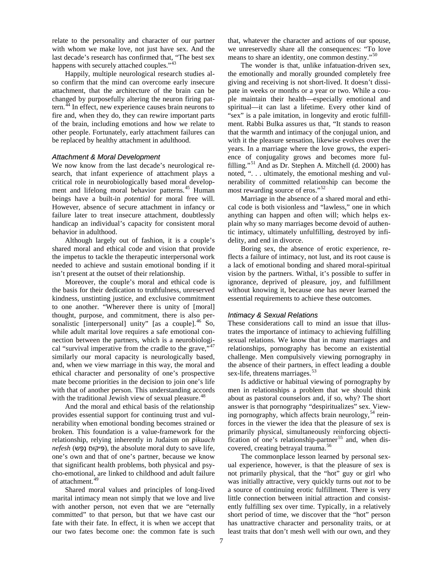relate to the personality and character of our partner with whom we make love, not just have sex. And the last decade's research has confirmed that, "The best sex happens with securely attached couples."<sup>[43](#page-12-25)</sup>

Happily, multiple neurological research studies also confirm that the mind can overcome early insecure attachment, that the architecture of the brain can be changed by purposefully altering the neuron firing pattern. $^{44}$  $^{44}$  $^{44}$  In effect, new experience causes brain neurons to fire and, when they do, they can rewire important parts of the brain, including emotions and how we relate to other people. Fortunately, early attachment failures can be replaced by healthy attachment in adulthood.

#### *Attachment & Moral Development*

We now know from the last decade's neurological research, that infant experience of attachment plays a critical role in neurobiologically based moral develop-ment and lifelong moral behavior patterns.<sup>[45](#page-12-27)</sup> Human beings have a built-in *potential* for moral free will. However, absence of secure attachment in infancy or failure later to treat insecure attachment, doubtlessly handicap an individual's capacity for consistent moral behavior in adulthood.

Although largely out of fashion, it is a couple's shared moral and ethical code and vision that provide the impetus to tackle the therapeutic interpersonal work needed to achieve and sustain emotional bonding if it isn't present at the outset of their relationship.

Moreover, the couple's moral and ethical code is the basis for their dedication to truthfulness, unreserved kindness, unstinting justice, and exclusive commitment to one another. "Wherever there is unity of [moral] thought, purpose, and commitment, there is also per-sonalistic [interpersonal] unity" [as a couple].<sup>[46](#page-12-28)</sup> So, while adult marital love requires a safe emotional connection between the partners, which is a neurobiological "survival imperative from the cradle to the grave," $47$ similarly our moral capacity is neurologically based, and, when we view marriage in this way, the moral and ethical character and personality of one's prospective mate become priorities in the decision to join one's life with that of another person. This understanding accords with the traditional Jewish view of sexual pleasure.<sup>[48](#page-12-30)</sup>

And the moral and ethical basis of the relationship provides essential support for continuing trust and vulnerability when emotional bonding becomes strained or broken. This foundation is a value-framework for the relationship, relying inherently in Judaism on *pikuach*   $nefsh$  (פִיקוּחַ נֵפֵש), the absolute moral duty to save life, one's own and that of one's partner, because we know that significant health problems, both physical and psycho-emotional, are linked to childhood and adult failure of attachment.<sup>49</sup>

Shared moral values and principles of long-lived marital intimacy mean not simply that we love and live with another person, not even that we are "eternally committed" to that person, but that we have cast our fate with their fate. In effect, it is when we accept that our two fates become one: the common fate is such that, whatever the character and actions of our spouse, we unreservedly share all the consequences: "To love means to share an identity, one common destiny."<sup>[50](#page-12-31)</sup>

The wonder is that, unlike infatuation-driven sex, the emotionally and morally grounded completely free giving and receiving is not short-lived. It doesn't dissipate in weeks or months or a year or two. While a couple maintain their health—especially emotional and spiritual—it can last a lifetime. Every other kind of "sex" is a pale imitation, in longevity and erotic fulfillment. Rabbi Bulka assures us that, "It stands to reason that the warmth and intimacy of the conjugal union, and with it the pleasure sensation, likewise evolves over the years. In a marriage where the love grows, the experience of conjugality grows and becomes more ful-filling."<sup>[51](#page-12-21)</sup> And as Dr. Stephen A. Mitchell (d. 2000) has noted, ". . . ultimately, the emotional meshing and vulnerability of committed relationship can become the most rewarding source of eros."<sup>[52](#page-12-32)</sup>

Marriage in the absence of a shared moral and ethical code is both visionless and "lawless," one in which anything can happen and often will; which helps explain why so many marriages become devoid of authentic intimacy, ultimately unfulfilling, destroyed by infidelity, and end in divorce.

Boring sex, the absence of erotic experience, reflects a failure of intimacy, not lust, and its root cause is a lack of emotional bonding and shared moral-spiritual vision by the partners. Withal, it's possible to suffer in ignorance, deprived of pleasure, joy, and fulfillment without knowing it, because one has never learned the essential requirements to achieve these outcomes.

#### *Intimacy & Sexual Relations*

These considerations call to mind an issue that illustrates the importance of intimacy to achieving fulfilling sexual relations. We know that in many marriages and relationships, pornography has become an existential challenge. Men compulsively viewing pornography in the absence of their partners, in effect leading a double sex-life, threatens marriages.

Is addictive or habitual viewing of pornography by men in relationships a problem that we should think about as pastoral counselors and, if so, why? The short answer is that pornography "despiritualizes" sex. Viewing pornography, which affects brain neurology,  $54$  reinforces in the viewer the idea that the pleasure of sex is primarily physical, simultaneously reinforcing objecti-fication of one's relationship-partner<sup>[55](#page-12-4)</sup> and, when dis-covered, creating betrayal trauma.<sup>[56](#page-12-34)</sup>

The commonplace lesson learned by personal sexual experience, however, is that the pleasure of sex is not primarily physical, that the "hot" guy or girl who was initially attractive, very quickly turns out *not* to be a source of continuing erotic fulfillment. There is very little connection between initial attraction and consistently fulfilling sex over time. Typically, in a relatively short period of time, we discover that the "hot" person has unattractive character and personality traits, or at least traits that don't mesh well with our own, and they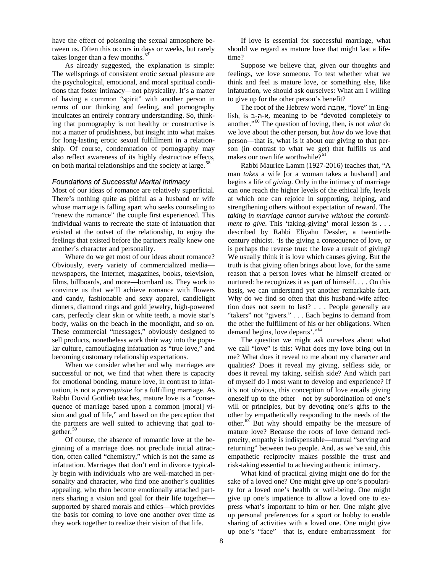have the effect of poisoning the sexual atmosphere between us. Often this occurs in days or weeks, but rarely takes longer than a few months.<sup>[57](#page-12-35)</sup>

As already suggested, the explanation is simple: The wellsprings of consistent erotic sexual pleasure are the psychological, emotional, and moral spiritual conditions that foster intimacy—not physicality. It's a matter of having a common "spirit" with another person in terms of our thinking and feeling, and pornography inculcates an entirely contrary understanding. So, thinking that pornography is not healthy or constructive is not a matter of prudishness, but insight into what makes for long-lasting erotic sexual fulfillment in a relationship. Of course, condemnation of pornography may also reflect awareness of its highly destructive effects, on both marital relationships and the society at large.<sup>[58](#page-12-23)</sup>

#### *Foundations of Successful Marital Intimacy*

Most of our ideas of romance are relatively superficial. There's nothing quite as pitiful as a husband or wife whose marriage is falling apart who seeks counseling to "renew the romance" the couple first experienced. This individual wants to recreate the state of infatuation that existed at the outset of the relationship, to enjoy the feelings that existed before the partners really knew one another's character and personality.

Where do we get most of our ideas about romance? Obviously, every variety of commercialized media newspapers, the Internet, magazines, books, television, films, billboards, and more—bombard us. They work to convince us that we'll achieve romance with flowers and candy, fashionable and sexy apparel, candlelight dinners, diamond rings and gold jewelry, high-powered cars, perfectly clear skin or white teeth, a movie star's body, walks on the beach in the moonlight, and so on. These commercial "messages," obviously designed to sell products, nonetheless work their way into the popular culture, camouflaging infatuation as "true love," and becoming customary relationship expectations.

When we consider whether and why marriages are successful or not, we find that when there is capacity for emotional bonding, mature love, in contrast to infatuation, is not a *prerequisite* for a fulfilling marriage. As Rabbi Dovid Gottlieb teaches, mature love is a "consequence of marriage based upon a common [moral] vision and goal of life," and based on the perception that the partners are well suited to achieving that goal to-gether.<sup>[59](#page-12-36)</sup>

Of course, the absence of romantic love at the beginning of a marriage does not preclude initial attraction, often called "chemistry," which is not the same as infatuation. Marriages that don't end in divorce typically begin with individuals who are well-matched in personality and character, who find one another's qualities appealing, who then become emotionally attached partners sharing a vision and goal for their life together supported by shared morals and ethics—which provides the basis for coming to love one another over time as they work together to realize their vision of that life.

If love is essential for successful marriage, what should we regard as mature love that might last a lifetime?

Suppose we believe that, given our thoughts and feelings, we love someone. To test whether what we think and feel is mature love, or something else, like infatuation, we should ask ourselves: What am I willing to give up for the other person's benefit?

The root of the Hebrew word יָאַהֲבָה, "love" in English, is ב-ה-א, meaning to be "devoted completely to another."<sup>60</sup> The question of loving, then, is not *what* do we love about the other person, but *how* do we love that person—that is, what is it about our giving to that person (in contrast to what we get) that fulfills us and makes our own life worthwhile?<sup>61</sup>

Rabbi Maurice Lamm (1927-2016) teaches that, "A man *takes* a wife [or a woman takes a husband] and begins a life of *giving*. Only in the intimacy of marriage can one reach the higher levels of the ethical life, levels at which one can rejoice in supporting, helping, and strengthening others without expectation of reward. The *taking in marriage cannot survive without the commitment to give*. This 'taking-giving' moral lesson is . . . described by Rabbi Eliyahu Dessler, a twentiethcentury ethicist. 'Is the giving a consequence of love, or is perhaps the reverse true: the love a result of giving? We usually think it is love which causes giving. But the truth is that giving often brings about love, for the same reason that a person loves what he himself created or nurtured: he recognizes it as part of himself. . . . On this basis, we can understand yet another remarkable fact. Why do we find so often that this husband-wife affection does not seem to last? . . . People generally are "takers" not "givers." . . . Each begins to demand from the other the fulfillment of his or her obligations. When demand begins, love departs'."<sup>[62](#page-12-37)</sup>

The question we might ask ourselves about what we call "love" is this: What does my love bring out in me? What does it reveal to me about my character and qualities? Does it reveal my giving, selfless side, or does it reveal my taking, selfish side? And which part of myself do I most want to develop and experience? If it's not obvious, this conception of love entails giving oneself up to the other—not by subordination of one's will or principles, but by devoting one's gifts to the other by empathetically responding to the needs of the other.<sup>[63](#page-12-9)</sup> But why should empathy be the measure of mature love? Because the roots of love demand reciprocity, empathy is indispensable—mutual "serving and returning" between two people. And, as we've said, this empathetic reciprocity makes possible the trust and risk-taking essential to achieving authentic intimacy.

What kind of practical giving might one do for the sake of a loved one? One might give up one's popularity for a loved one's health or well-being. One might give up one's impatience to allow a loved one to express what's important to him or her. One might give up personal preferences for a sport or hobby to enable sharing of activities with a loved one. One might give up one's "face"—that is, endure embarrassment—for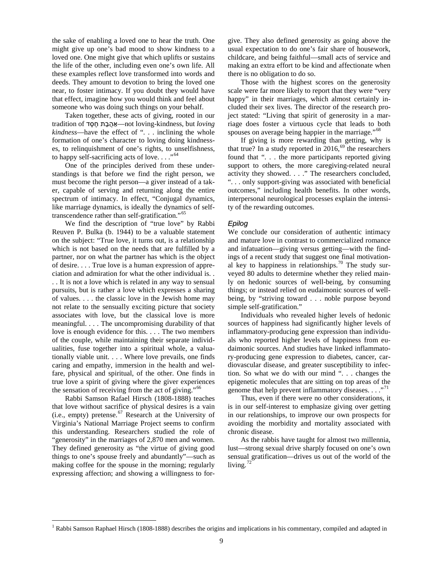the sake of enabling a loved one to hear the truth. One might give up one's bad mood to show kindness to a loved one. One might give that which uplifts or sustains the life of the other, including even one's own life. All these examples reflect love transformed into words and deeds. They amount to devotion to bring the loved one near, to foster intimacy. If you doubt they would have that effect, imagine how you would think and feel about someone who was doing such things on your behalf.

Taken together, these acts of giving, rooted in our *loving* but ,kindness-loving not—אַ הֲ בָ ת חֶ סֶ ד of tradition *kindness*—have the effect of ". . . inclining the whole formation of one's character to loving doing kindnesses, to relinquishment of one's rights, to unselfishness, to happy self-sacrificing acts of love. . . .<sup>"64</sup>

<span id="page-8-3"></span><span id="page-8-2"></span><span id="page-8-1"></span>One of the principles derived from these understandings is that before we find the right person, we must become the right person—a giver instead of a taker, capable of serving and returning along the entire spectrum of intimacy. In effect, "Conjugal dynamics, like marriage dynamics, is ideally the dynamics of selftranscendence rather than self-gratification."[65](#page-12-10)

We find the description of "true love" by Rabbi Reuven P. Bulka (b. 1944) to be a valuable statement on the subject: "True love, it turns out, is a relationship which is not based on the needs that are fulfilled by a partner, nor on what the partner has which is the object of desire. . . . True love is a human expression of appreciation and admiration for what the other individual is. . . . It is not a love which is related in any way to sensual pursuits, but is rather a love which expresses a sharing of values. . . . the classic love in the Jewish home may not relate to the sensually exciting picture that society associates with love, but the classical love is more meaningful. . . . The uncompromising durability of that love is enough evidence for this. . . . The two members of the couple, while maintaining their separate individualities, fuse together into a spiritual whole, a valuationally viable unit. . . . Where love prevails, one finds caring and empathy, immersion in the health and welfare, physical and spiritual, of the other. One finds in true love a spirit of giving where the giver experiences the sensation of receiving from the act of giving."<sup>[66](#page-12-38)</sup>

Rabbi Samson Rafael Hirsch (1808-1888) teaches that love without sacrifice of physical desires is a vain (i.e., empty) pretense. $57$  Research at the University of Virginia's National Marriage Project seems to confirm this understanding. Researchers studied the role of "generosity" in the marriages of 2,870 men and women. They defined generosity as "the virtue of giving good things to one's spouse freely and abundantly"—such as making coffee for the spouse in the morning; regularly expressing affection; and showing a willingness to forgive. They also defined generosity as going above the usual expectation to do one's fair share of housework, childcare, and being faithful—small acts of service and making an extra effort to be kind and affectionate when there is no obligation to do so.

Those with the highest scores on the generosity scale were far more likely to report that they were "very happy" in their marriages, which almost certainly included their sex lives. The director of the research project stated: "Living that spirit of generosity in a marriage does foster a virtuous cycle that leads to both spouses on average being happier in the marriage."<sup>[68](#page-12-25)</sup>

If giving is more rewarding than getting, why is that true? In a study reported in 2016,<sup>[69](#page-12-11)</sup> the researchers found that ". . . the more participants reported giving support to others, the more caregiving-related neural activity they showed. . . ." The researchers concluded, ". . . only support-giving was associated with beneficial outcomes," including health benefits. In other words, interpersonal neurological processes explain the intensity of the rewarding outcomes.

#### *Epilog*

We conclude our consideration of authentic intimacy and mature love in contrast to commercialized romance and infatuation—giving versus getting—with the findings of a recent study that suggest one final motivation-al key to happiness in relationships.<sup>[70](#page-12-12)</sup> The study surveyed 80 adults to determine whether they relied mainly on hedonic sources of well-being, by consuming things; or instead relied on eudaimonic sources of wellbeing, by "striving toward . . . noble purpose beyond simple self-gratification."

Individuals who revealed higher levels of hedonic sources of happiness had significantly higher levels of inflammatory-producing gene expression than individuals who reported higher levels of happiness from eudaimonic sources. And studies have linked inflammatory-producing gene expression to diabetes, cancer, cardiovascular disease, and greater susceptibility to infection. So what we do with our mind ". . . changes the epigenetic molecules that are sitting on top areas of the genome that help prevent inflammatory diseases.  $\ldots$ <sup>[71](#page-12-40)</sup>

Thus, even if there were no other considerations, it is in our self-interest to emphasize giving over getting in our relationships, to improve our own prospects for avoiding the morbidity and mortality associated with chronic disease.

As the rabbis have taught for almost two millennia, lust—strong sexual drive sharply focused on one's own sensual gratification—drives us out of the world of the living. $72$ 

<span id="page-8-0"></span><sup>&</sup>lt;sup>1</sup> Rabbi Samson Raphael Hirsch (1808-1888) describes the origins and implications in his commentary, compiled and adapted in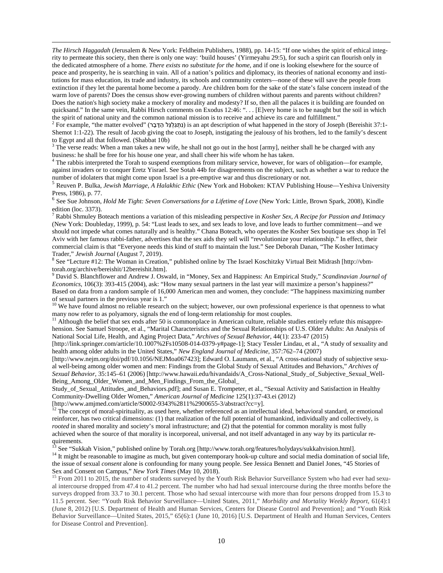*The Hirsch Haggadah* (Jerusalem & New York: Feldheim Publishers, 1988), pp. 14-15: "If one wishes the spirit of ethical integrity to permeate this society, then there is only one way: 'build houses' (Yirmeyahu 29:5), for such a spirit can flourish only in the dedicated atmosphere of a home. *There exists no substitute for the home*, and if one is looking elsewhere for the source of peace and prosperity, he is searching in vain. All of a nation's politics and diplomacy, its theories of national economy and institutions for mass education, its trade and industry, its schools and community centers—none of these will save the people from extinction if they let the parental home become a parody. Are children born for the sake of the state's false concern instead of the warm love of parents? Does the census show ever-growing numbers of children without parents and parents without children? Does the nation's high society make a mockery of morality and modesty? If so, then all the palaces it is building are founded on quicksand." In the same vein, Rabbi Hirsch comments on Exodus 12:46: "... [E]very home is to be naught but the soil in which the spirit of national unity and the common national mission is to receive and achieve its care a

 $\overline{a}$ 

<sup>2</sup> For example, "the matter evolved" (נְתְגַלְגֵּל הַדָּבָר) is an apt description of what happened in the story of Joseph (Bereishit 37:1-Shemot 1:1-22). The result of Jacob giving the coat to Joseph, instigating the jealousy of his brothers, led to the family's descent

 $3$  The verse reads: When a man takes a new wife, he shall not go out in the host [army], neither shall he be charged with any business: he shall be free for his house one year, and shall cheer his wife whom he has taken.

 $\hbar$ <sup>4</sup> The rabbis interpreted the Torah to suspend exemptions from military service, however, for wars of obligation—for example, against invaders or to conquer Eretz Yisrael. See Sotah 44b for disagreements on the subject, such as whether a war to reduce the

number of idolaters that might come upon Israel is a pre-emptive war and thus discretionary or not.<br><sup>5</sup> Reuven P. Bulka, *Jewish Marriage, A Halakhic Ethic* (New York and Hoboken: KTAV Publishing House—Yeshiva University<br>P

<span id="page-9-0"></span><sup>6</sup> See Sue Johnson, *Hold Me Tight: Seven Conversations for a Lifetime of Love* (New York: Little, Brown Spark, 2008), Kindle edition (loc. 3373).

<span id="page-9-1"></span><sup>7</sup> Rabbi Shmuley Boteach mentions a variation of this misleading perspective in *Kosher Sex, A Recipe for Passion and Intimacy* (New York: Doubleday, 1999), p. 54: "Lust leads to sex, and sex leads to love, and love leads to further commitment—and we should not impede what comes naturally and is healthy." Chana Boteach, who operates the Kosher Sex boutique sex shop in Tel Aviv with her famous rabbi-father, advertises that the sex aids they sell will "revolutionize your relationship." In effect, their commercial claim is that "Everyone needs this kind of stuff to maintain the lust." See Deborah Danan, "The Kosher Intimacy Trader," Jewish Journal (August 7, 2019).

<span id="page-9-2"></span><sup>8</sup> See "Lecture #12: The Woman in Creation," published online by The Israel Koschitzky Virtual Beit Midrash [http://vbmtorah.org/archive/bereishit/12bereishit.htm].<br><sup>9</sup> David S. Blanchflower and Andrew J. Oswald, in "Money, Sex and Happiness: An Empirical Study," *Scandinavian Journal of* 

<span id="page-9-3"></span>*Economics*, 106(3): 393-415 (2004), ask: "How many sexual partners in the last year will maximize a person's happiness?" Based on data from a random sample of 16,000 American men and women, they conclude: "The happiness maximizing number of sexual partners in the previous year is 1."

 $10$  We have found almost no reliable research on the subject; however, our own professional experience is that openness to what many now refer to as polyamory, signals the end of long-term relationship for most couples.

 $<sup>11</sup>$  Although the belief that sex ends after 50 is commonplace in American culture, reliable studies entirely refute this misappre-</sup> hension. See Samuel Stroope, et al., "Marital Characteristics and the Sexual Relationships of U.S. Older Adults: An Analysis of National Social Life, Health, and Aging Project Data," *Archives of Sexual Behavior*, 44(1): 233-47 (2015)

[http://link.springer.com/article/10.1007%2Fs10508-014-0379-y#page-1]; Stacy Tessler Lindau, et al., "A study of sexuality and health among older adults in the United States," *New England Journal of Medicine*, 357:762–74 (2007)

[http://www.nejm.org/doi/pdf/10.1056/NEJMoa067423]; Edward O. Laumann, et al., "A cross-national study of subjective sexual well-being among older women and men: Findings from the Global Study of Sexual Attitudes and Behaviors," *Archives of Sexual Behavior*, 35:145–61 (2006) [http://www.hawaii.edu/hivandaids/A\_Cross-National\_Study\_of\_Subjective\_Sexual\_Well-Being\_Among\_Older\_Women\_and\_Men\_Findings\_From\_the\_Global\_

Study\_of\_Sexual\_Attitudes\_and\_Behaviors.pdf]; and Susan E. Trompeter, et al., "Sexual Activity and Satisfaction in Healthy Community-Dwelling Older Women," *American Journal of Medicine* 125(1):37-43.ei (2012)

 $\frac{12}{12}$  The concept of moral-spirituality, as used here, whether referenced as an intellectual ideal, behavioral standard, or emotional reinforcer, has two critical dimensions: (1) that realization of the full potential of humankind, individually and collectively, is *rooted* in shared morality and society's moral infrastructure; and (2) that the potential for common morality is most fully achieved when the source of that morality is incorporeal, universal, and not itself advantaged in any way by its particular requirements.<br><sup>13</sup> See "Sukkah Vision," published online by Torah.org [http://www.torah.org/features/holydays/sukkahvision.html].<br><sup>14</sup> It might be reasonable to imagine as much, but given contemporary hook-up culture and soc

the issue of sexual *consent* alone is confounding for many young people. See Jessica Bennett and Daniel Jones, "45 Stories of Sex and Consent on Campus," New York Times (May 10, 2018).

<sup>15</sup> From 2011 to 2015, the number of students surveyed by the Youth Risk Behavior Surveillance System who had ever had sexual intercourse dropped from 47.4 to 41.2 percent. The number who had had sexual intercourse during the three months before the surveys dropped from 33.7 to 30.1 percent. Those who had sexual intercourse with more than four persons dropped from 15.3 to 11.5 percent. See: "Youth Risk Behavior Surveillance—United States, 2011," *Morbidity and Mortality Weekly Report*, 61(4):1 (June 8, 2012) [U.S. Department of Health and Human Services, Centers for Disease Control and Prevention]; and "Youth Risk Behavior Surveillance—United States, 2015," 65(6):1 (June 10, 2016) [U.S. Department of Health and Human Services, Centers for Disease Control and Prevention].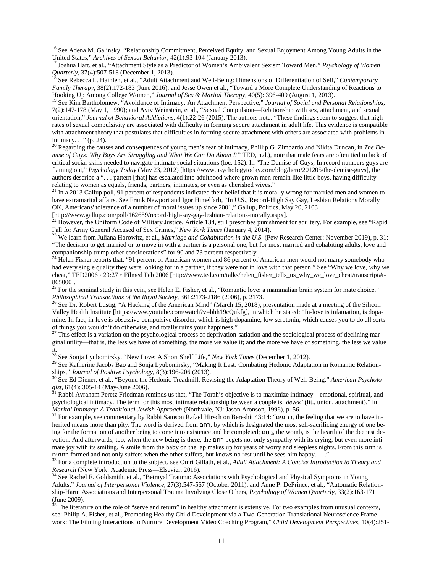<sup>16</sup> See Adena M. Galinsky, "Relationship Commitment, Perceived Equity, and Sexual Enjoyment Among Young Adults in the United States." *Archives of Sexual Behavior*.  $42(1)$ : 93-104 (January 2013).

<sup>17</sup> Joshua Hart, et al., "Attachment Style as a Predictor of Women's Ambivalent Sexism Toward Men," *Psychology of Women Quarterly*, 37(4):507-518 (December 1, 2013).

*Quarterly*, 37(4):507-518 (December 1, 2013). <sup>18</sup> See Rebecca L. Hainlen, et al., "Adult Attachment and Well-Being: Dimensions of Differentiation of Self," *Contemporary Family Therapy*, 38(2):172-183 (June 2016); and Jesse Owen et al., "Toward a More Complete Understanding of Reactions to Hooking Up Among College Women," *Journal of Sex & Marital Therapy*, 40(5): 396-409 (August 1, 2013)

<sup>19</sup> See Kim Bartholomew, "Avoidance of Intimacy: An Attachment Perspective," Journal of Social and Personal Relationships, 7(2):147-178 (May 1, 1990); and Aviv Weinstein, et al., "Sexual Compulsion—Relationship with sex, attachment, and sexual orientation," *Journal of Behavioral Addictions*, 4(1):22-26 (2015). The authors note: "These findings seem to suggest that high rates of sexual compulsivity are associated with difficulty in forming secure attachment in adult life. This evidence is compatible with attachment theory that postulates that difficulties in forming secure attachment with others are associated with problems in intimacy. . ." (p. 24).

<sup>20</sup> Regarding the causes and consequences of young men's fear of intimacy, Phillip G. Zimbardo and Nikita Duncan, in *The Demise of Guys: Why Boys Are Struggling and What We Can Do About It"* TED, n.d.), note that male fears are often tied to lack of critical social skills needed to navigate intimate social situations (loc. 152). In "The Demise of Guys, In record numbers guys are flaming out," *Psychology Today* (May 23, 2012) [https://www.psychologytoday.com/blog/hero/201205/the-demise-guys], the authors describe a ". . . pattern [that] has escalated into adulthood where grown men remain like little boys, having difficulty

relating to women as equals, friends, partners, intimates, or even as cherished wives." In a 2013 Gallup poll, 91 percent of respondents indicated their belief that it is morally wrong for married men and women to have extramarital affairs. See Frank Newport and Igor Himelfarb, "In U.S., Record-High Say Gay, Lesbian Relations Morally OK, Americans' tolerance of a number of moral issues up since 2001," Gallup, Politics, May 20, 2103 [http://www.gallup.com/poll/162689/record-high-say-gay-lesbian-relations-morally.aspx].

 $^{22}$  However, the Uniform Code of Military Justice, Article 134, still prescribes punishment for adultery. For example, see "Rapid Fall for Army General Accused of Sex Crimes," New York Times (January 4, 2014).<br><sup>23</sup> We learn from Juliana Horowitz, et al., *Marriage and Cohabitation in the U.S.* (Pew Research Center: November 2019), p. 31:

"The decision to get married or to move in with a partner is a personal one, but for most married and cohabiting adults, love and companionship trump other considerations" for 90 and 73 percent respectively.<br><sup>24</sup> Helen Fisher reports that, "91 percent of American women and 86 percent of American men would not marry somebody who

had every single quality they were looking for in a partner, if they were not in love with that person." See "Why we love, why we cheat," TED2006 ∘ 23:27 ∘ Filmed Feb 2006 [http://www.ted.com/talks/helen\_fisher\_tells\_us\_why\_we\_love\_cheat/transcript#t-865000].

<sup>25</sup> For the seminal study in this vein, see Helen E. Fisher, et al., "Romantic love: a mammalian brain system for mate choice," *Philosophical Transactions of the Royal Society*,  $361:2173-2186 (2006)$ , p. 2173.

<span id="page-10-0"></span><sup>26</sup> See Dr. Robert Lustig, "A Hacking of the American Mind" (March 15, 2018), presentation made at a meeting of the Silicon Valley Health Institute [https://www.youtube.com/watch?v=bhh19cQukfg], in which he stated: "In-love is infatuation, is dopamine. In fact, in-love is obsessive-compulsive disorder, which is high dopamine, low serotonin, which causes you to do all sorts of things you wouldn't do otherwise, and totally ruins your happiness."

 $^{27}$  This effect is a variation on the psychological process of deprivation-satiation and the sociological process of declining marginal utility—that is, the less we have of something, the more we value it; and the more we have of something, the less we value it.

<sup>28</sup> See Sonja Lyubomirsky, "New Love: A Short Shelf Life," *New York Times* (December 1, 2012).<br><sup>29</sup> See Katherine Jacobs Bao and Sonja Lyubomirsky, "Making It Last: Combating Hedonic Adaptation in Romantic Relationships," *Journal of Positive Psychology*, 8(3):196-206 (2013).<br><sup>30</sup> See Ed Diener, et al., "Beyond the Hedonic Treadmill: Revising the Adaptation Theory of Well-Being," *American Psycholo-*

gist, 61(4): 305-14 (May-June 2006).<br><sup>31</sup> Rabbi Avraham Peretz Friedman reminds us that, "The Torah's objective is to maximize intimacy—emotional, spiritual, and

psychological intimacy. The term for this most intimate relationship between a couple is '*devek'* (lit., union, attachment)," in *Marital Intimacy: A Traditional Jewish Approach* (Northvale, NJ: Jason Aronson, 1996), p. 56. <sup>32</sup> For example, see commentary by Rabbi Samson Rafael Hirsch on Bereshit 43:14: "רחמים, the feeling that we are to have in-

herited means more than pity. The word is derived from רחם, by which is designated the most self-sacrificing energy of one being for the formation of another being to come into existence and be completed; **nn**, the womb, is the hearth of the deepest devotion. And afterwards, too, when the new being is there, the רחם begets not only sympathy with its crying, but even more intimate joy with its smiling. A smile from the baby on the lap makes up for years of worry and sleepless nights. From this רחם is רחמים formed and not only suffers when the other suffers, but knows no rest until he sees him happy...."<br><sup>33</sup> For a complete introduction to the subject, see Omri Gillath, et al., *Adult Attachment: A Concise Introduction* 

*Research* (New York: Academic Press—Elsevier, 2016).<br><sup>34</sup> See Rachel E. Goldsmith, et al., "Betrayal Trauma: Associations with Psychological and Physical Symptoms in Young

Adults," *Journal of Interpersonal Violence*, 27(3):547-567 (October 2011); and Anne P. DePrince, et al., "Automatic Relationship-Harm Associations and Interpersonal Trauma Involving Close Others, *Psychology of Women Quarterly*, 33(2):163-171

 $\frac{35}{15}$  The literature on the role of "serve and return" in healthy attachment is extensive. For two examples from unusual contexts, see: Philip A. Fisher, et al., Promoting Healthy Child Development via a Two-Generation Translational Neuroscience Framework: The Filming Interactions to Nurture Development Video Coaching Program," *Child Development Perspectives*, 10(4):251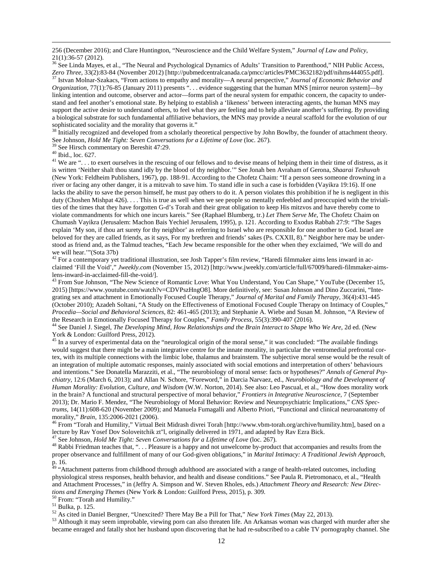256 (December 2016); and Clare Huntington, "Neuroscience and the Child Welfare System," *Journal of Law and Policy*,

<sup>36</sup> See Linda Mayes, et al., "The Neural and Psychological Dynamics of Adults' Transition to Parenthood," NIH Public Access, Zero Three, 33(2):83-84 (November 2012) [http://pubmedcentralcanada.ca/pmcc/articles/PMC3632182/pdf/nihms444055.pdf].<br><sup>37</sup> Istvan Molnar-Szakacs, "From actions to empathy and morality—A neural perspective," *Journal of Eco Organization*, 77(1):76-85 (January 2011) presents ". . . evidence suggesting that the human MNS [mirror neuron system]—by linking intention and outcome, observer and actor—forms part of the neural system for empathic concern, the capacity to understand and feel another's emotional state. By helping to establish a 'likeness' between interacting agents, the human MNS may support the active desire to understand others, to feel what they are feeling and to help alleviate another's suffering. By providing a biological substrate for such fundamental affiliative behaviors, the MNS may provide a neural scaffold for the evolution of our sophisticated sociality and the morality that governs it."

<sup>38</sup> Initially recognized and developed from a scholarly theoretical perspective by John Bowlby, the founder of attachment theory.<br>See Johnson, *Hold Me Tight: Seven Conversations for a Lifetime of Love* (loc. 267).

<sup>39</sup> See Hirsch commentary on Bereshit 47:29.<br><sup>40</sup> Ibid., loc. 627.<br><sup>41</sup> We are "... to exert ourselves in the rescuing of our fellows and to devise means of helping them in their time of distress, as it is written 'Neither shalt thou stand idly by the blood of thy neighbor.'" See Jonah ben Avraham of Gerona, *Shaarai Teshuvah* (New York: Feldheim Publishers, 1967), pp. 188-91. According to the Chofetz Chaim: "If a person sees someone drowning in a river or facing any other danger, it is a mitzvah to save him. To stand idle in such a case is forbidden (Vayikra 19:16). If one lacks the ability to save the person himself, he must pay others to do it. A person violates this prohibition if he is negligent in this duty (Choshen Mishpat 426). . . . This is true as well when we see people so mentally enfeebled and preoccupied with the trivialities of the times that they have forgotten G-d's Torah and their great obligation to keep His mitzvos and have thereby come to violate commandments for which one incurs kareis." See (Raphael Blumberg, tr.) *Let Them Serve Me*, The Chofetz Chaim on Chumash Vayikra (Jerusalem: Machon Bais Yechiel Jerusalem, 1995), p. 121. According to Exodus Rabbah 27:9: "The Sages explain 'My son, if thou art surety for thy neighbor' as referring to Israel who are responsible for one another to God. Israel are beloved for they are called friends, as it says, For my brethren and friends' sakes (Ps. CXXII, 8)." Neighbor here may be understood as friend and, as the Talmud teaches, "Each Jew became responsible for the other when they exclaimed, 'We will do and we will hear.'"(Sota 37b)<br> $42$  For a contemporary yet traditional illustration, see Josh Tapper's film review, "Haredi filmmaker aims lens inward in ac-

claimed 'Fill the Void'," *Jweekly.com* (November 15, 2012) [http://www.jweekly.com/article/full/67009/haredi-filmmaker-aims-<br>lens-inward-in-acclaimed-fill-the-void/].

<sup>43</sup> From Sue Johnson, "The New Science of Romantic Love: What You Understand, You Can Shape," YouTube (December 15, 2015) [https://www.youtube.com/watch?v=CDVPszHngO8]. More definitively, see: Susan Johnson and Dino Zuccarini, "Integrating sex and attachment in Emotionally Focused Couple Therapy," *Journal of Marital and Family Therapy*, 36(4):431-445 (October 2010); Azadeh Soltani, "A Study on the Effectiveness of Emotional Focused Couple Therapy on Intimacy of Couples," *Procedia—Social and Behavioral Sciences*, 82: 461-465 (2013); and Stephanie A. Wiebe and Susan M. Johnson, "A Review of

<span id="page-11-0"></span><sup>44</sup> See Daniel J. Siegel, *The Developing Mind*, *How Relationships and the Brain Interact to Shape Who We Are*, 2d ed. (New York & London: Guilford Press, 2012).<br><sup>45</sup> In a survey of experimental data on the "neurological origin of the moral sense," it was concluded: "The available findings

would suggest that there might be a main integrative centre for the innate morality, in particular the ventromedial prefrontal cortex, with its multiple connections with the limbic lobe, thalamus and brainstem. The subjective moral sense would be the result of an integration of multiple automatic responses, mainly associated with social emotions and interpretation of others' behaviours and intentions." See Donatella Marazziti, et al., "The neurobiology of moral sense: facts or hypotheses?" *Annals of General Psychiatry*, 12:6 (March 6, 2013); and Allan N. Schore, "Foreword," in Darcia Narvaez, ed., *Neurobiology and the Development of Human Morality: Evolution, Culture, and Wisdom* (W.W. Norton, 2014). See also: Leo Pascual, et al., "How does morality work in the brain? A functional and structural perspective of moral behavior," *Frontiers in Integrative Neuroscience*, 7 (September 2013); Dr. Mario F. Mendez, "The Neurobiology of Moral Behavior: Review and Neuropsychiatric Implications," *CNS Spectrums*, 14(11):608-620 (November 2009); and Manuela Fumagalli and Alberto Priori, "Functional and clinical neuroanatomy of

<span id="page-11-1"></span>morality," *Brain*, 135:2006-2021 (2006).<br><sup>46</sup> From "Torah and Humility," Virtual Beit Midrash divrei Torah [http://www.vbm-torah.org/archive/humility.htm], based on a<br>lecture by Rav Yosef Dov Soloveitchik zt"l, originally

<span id="page-11-2"></span><sup>47</sup> See Johnson, *Hold Me Tight: Seven Conversations for a Lifetime of Love* (loc. 267).<br><sup>48</sup> Rabbi Friedman teaches that, "... Pleasure is a happy and not unwelcome by-product that accompanies and results from the proper observance and fulfillment of many of our God-given obligations," in *Marital Intimacy: A Traditional Jewish Approach,*  p. 16.

<sup>49</sup> "Attachment patterns from childhood through adulthood are associated with a range of health-related outcomes, including physiological stress responses, health behavior, and health and disease conditions." See Paula R. Pietromonaco, et al., "Health and Attachment Processes," in (Jeffry A. Simpson and W. Steven Rholes, eds.) *Attachment Theory and Research: New Direc-*

<sup>50</sup> From: "Torah and Humility."<br><sup>51</sup> Bulka, p. 125.<br><sup>52</sup> As cited in Daniel Bergner, "Unexcited? There May Be a Pill for That," *New York Times* (May 22, 2013).<br><sup>52</sup> Although it may seem improbable, viewing porn can also became enraged and fatally shot her husband upon discovering that he had re-subscribed to a cable TV pornography channel. She